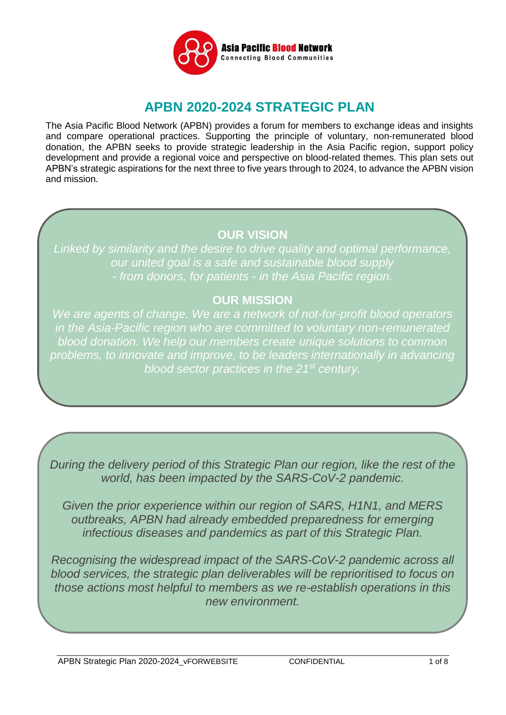

# **APBN 2020-2024 STRATEGIC PLAN**

The Asia Pacific Blood Network (APBN) provides a forum for members to exchange ideas and insights and compare operational practices. Supporting the principle of voluntary, non-remunerated blood donation, the APBN seeks to provide strategic leadership in the Asia Pacific region, support policy development and provide a regional voice and perspective on blood-related themes. This plan sets out APBN's strategic aspirations for the next three to five years through to 2024, to advance the APBN vision and mission.

## **OUR VISION**

*Linked by similarity and the desire to drive quality and optimal performance, our united goal is a safe and sustainable blood supply - from donors, for patients - in the Asia Pacific region.*

## **OUR MISSION**

*We are agents of change. We are a network of not-for-profit blood operators in the Asia-Pacific region who are committed to voluntary non-remunerated blood donation. We help our members create unique solutions to common*  problems, to innovate and improve, to be leaders internationally in advancing *blood sector practices in the 21st century.*

*During the delivery period of this Strategic Plan our region, like the rest of the world, has been impacted by the SARS-CoV-2 pandemic.* 

*Given the prior experience within our region of SARS, H1N1, and MERS outbreaks, APBN had already embedded preparedness for emerging infectious diseases and pandemics as part of this Strategic Plan.* 

*Recognising the widespread impact of the SARS-CoV-2 pandemic across all blood services, the strategic plan deliverables will be reprioritised to focus on those actions most helpful to members as we re-establish operations in this new environment.*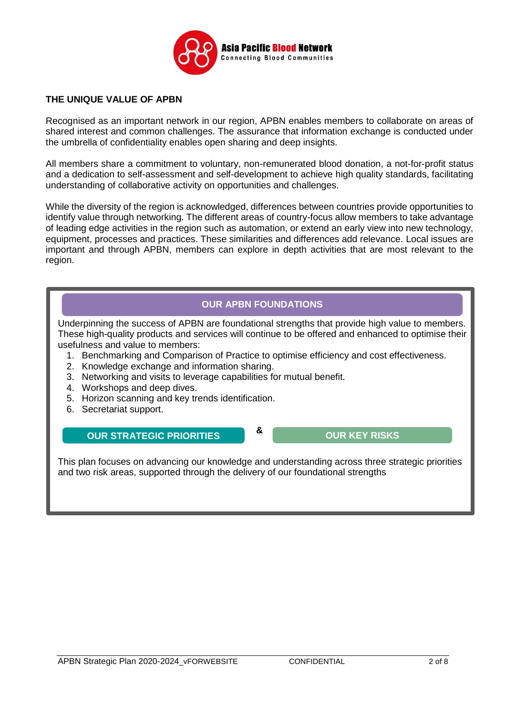

#### **THE UNIQUE VALUE OF APBN**

Recognised as an important network in our region, APBN enables members to collaborate on areas of shared interest and common challenges. The assurance that information exchange is conducted under the umbrella of confidentiality enables open sharing and deep insights.

All members share a commitment to voluntary, non-remunerated blood donation, a not-for-profit status and a dedication to self-assessment and self-development to achieve high quality standards, facilitating understanding of collaborative activity on opportunities and challenges.

While the diversity of the region is acknowledged, differences between countries provide opportunities to identify value through networking. The different areas of country-focus allow members to take advantage of leading edge activities in the region such as automation, or extend an early view into new technology, equipment, processes and practices. These similarities and differences add relevance. Local issues are important and through APBN, members can explore in depth activities that are most relevant to the region.

### **OUR APBN FOUNDATIONS**

Underpinning the success of APBN are foundational strengths that provide high value to members. These high-quality products and services will continue to be offered and enhanced to optimise their usefulness and value to members:

- 1. Benchmarking and Comparison of Practice to optimise efficiency and cost effectiveness.
- 2. Knowledge exchange and information sharing.
- 3. Networking and visits to leverage capabilities for mutual benefit.
- 4. Workshops and deep dives.
- 5. Horizon scanning and key trends identification.
- 6. Secretariat support.

## **OUR STRATEGIC PRIORITIES OUR KEY RISKS**

This plan focuses on advancing our knowledge and understanding across three strategic priorities and two risk areas, supported through the delivery of our foundational strengths

**&**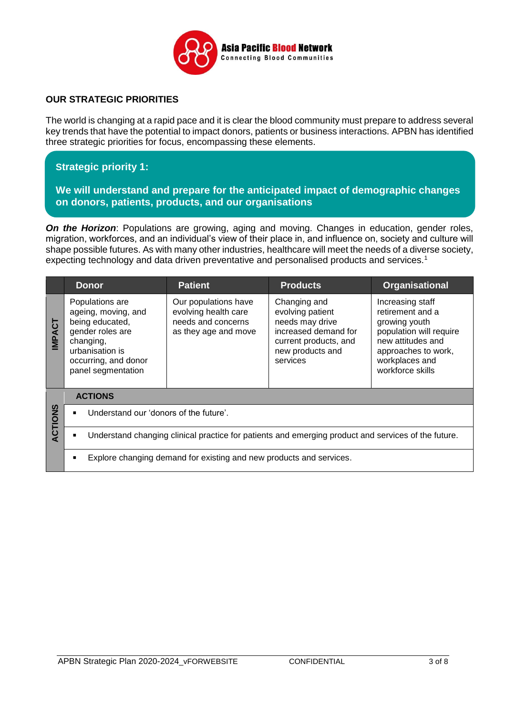

### **OUR STRATEGIC PRIORITIES**

The world is changing at a rapid pace and it is clear the blood community must prepare to address several key trends that have the potential to impact donors, patients or business interactions. APBN has identified three strategic priorities for focus, encompassing these elements.

## **Strategic priority 1:**

#### **We will understand and prepare for the anticipated impact of demographic changes on donors, patients, products, and our organisations**

*On the Horizon:* Populations are growing, aging and moving. Changes in education, gender roles, migration, workforces, and an individual's view of their place in, and influence on, society and culture will shape possible futures. As with many other industries, healthcare will meet the needs of a diverse society, expecting technology and data driven preventative and personalised products and services.<sup>1</sup>

|                                                                                                     | <b>Donor</b>                                                                                                                                                | <b>Patient</b>                                                                             | <b>Products</b>                                                                                                                      | Organisational                                                                                                                                                     |  |
|-----------------------------------------------------------------------------------------------------|-------------------------------------------------------------------------------------------------------------------------------------------------------------|--------------------------------------------------------------------------------------------|--------------------------------------------------------------------------------------------------------------------------------------|--------------------------------------------------------------------------------------------------------------------------------------------------------------------|--|
| 5<br><b>IMPA</b>                                                                                    | Populations are<br>ageing, moving, and<br>being educated,<br>gender roles are<br>changing,<br>urbanisation is<br>occurring, and donor<br>panel segmentation | Our populations have<br>evolving health care<br>needs and concerns<br>as they age and move | Changing and<br>evolving patient<br>needs may drive<br>increased demand for<br>current products, and<br>new products and<br>services | Increasing staff<br>retirement and a<br>growing youth<br>population will require<br>new attitudes and<br>approaches to work,<br>workplaces and<br>workforce skills |  |
|                                                                                                     | <b>ACTIONS</b>                                                                                                                                              |                                                                                            |                                                                                                                                      |                                                                                                                                                                    |  |
| ACTIONS                                                                                             | Understand our 'donors of the future'.                                                                                                                      |                                                                                            |                                                                                                                                      |                                                                                                                                                                    |  |
| Understand changing clinical practice for patients and emerging product and services of the future. |                                                                                                                                                             |                                                                                            |                                                                                                                                      |                                                                                                                                                                    |  |
|                                                                                                     | Explore changing demand for existing and new products and services.                                                                                         |                                                                                            |                                                                                                                                      |                                                                                                                                                                    |  |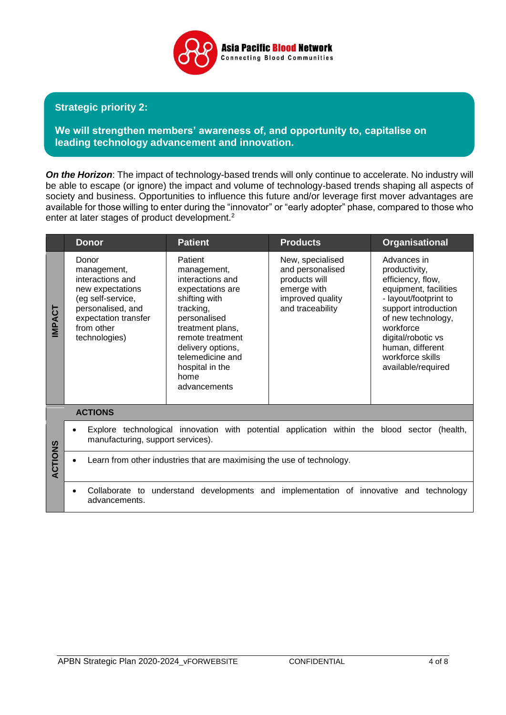

### **Strategic priority 2:**

**We will strengthen members' awareness of, and opportunity to, capitalise on leading technology advancement and innovation.**

**On the Horizon**: The impact of technology-based trends will only continue to accelerate. No industry will be able to escape (or ignore) the impact and volume of technology-based trends shaping all aspects of society and business. Opportunities to influence this future and/or leverage first mover advantages are available for those willing to enter during the "innovator" or "early adopter" phase, compared to those who enter at later stages of product development.<sup>2</sup>

|               | <b>Donor</b>                                                                                                                                                  | <b>Patient</b>                                                                                                                                                                                                                           | <b>Products</b>                                                                                              | <b>Organisational</b>                                                                                                                                                                                                                              |  |
|---------------|---------------------------------------------------------------------------------------------------------------------------------------------------------------|------------------------------------------------------------------------------------------------------------------------------------------------------------------------------------------------------------------------------------------|--------------------------------------------------------------------------------------------------------------|----------------------------------------------------------------------------------------------------------------------------------------------------------------------------------------------------------------------------------------------------|--|
| <b>IMPACT</b> | Donor<br>management,<br>interactions and<br>new expectations<br>(eg self-service,<br>personalised, and<br>expectation transfer<br>from other<br>technologies) | Patient<br>management,<br>interactions and<br>expectations are<br>shifting with<br>tracking,<br>personalised<br>treatment plans,<br>remote treatment<br>delivery options,<br>telemedicine and<br>hospital in the<br>home<br>advancements | New, specialised<br>and personalised<br>products will<br>emerge with<br>improved quality<br>and traceability | Advances in<br>productivity,<br>efficiency, flow,<br>equipment, facilities<br>- layout/footprint to<br>support introduction<br>of new technology,<br>workforce<br>digital/robotic vs<br>human, different<br>workforce skills<br>available/required |  |
|               |                                                                                                                                                               |                                                                                                                                                                                                                                          |                                                                                                              |                                                                                                                                                                                                                                                    |  |
|               | Explore technological innovation with potential application within the blood sector (health,<br>manufacturing, support services).                             |                                                                                                                                                                                                                                          |                                                                                                              |                                                                                                                                                                                                                                                    |  |
| ACTIONS       | Learn from other industries that are maximising the use of technology.                                                                                        |                                                                                                                                                                                                                                          |                                                                                                              |                                                                                                                                                                                                                                                    |  |
|               | Collaborate to understand developments and implementation of innovative and technology<br>advancements.                                                       |                                                                                                                                                                                                                                          |                                                                                                              |                                                                                                                                                                                                                                                    |  |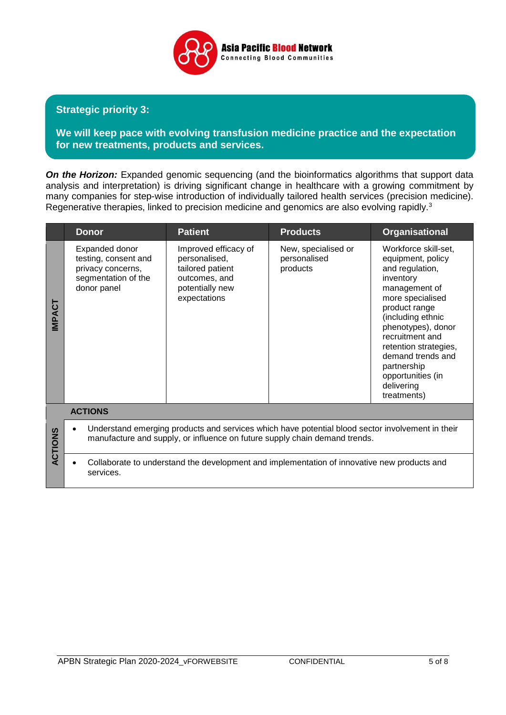

## **Strategic priority 3:**

**We will keep pace with evolving transfusion medicine practice and the expectation for new treatments, products and services.**

**On the Horizon:** Expanded genomic sequencing (and the bioinformatics algorithms that support data analysis and interpretation) is driving significant change in healthcare with a growing commitment by many companies for step-wise introduction of individually tailored health services (precision medicine). Regenerative therapies, linked to precision medicine and genomics are also evolving rapidly.<sup>3</sup>

|                | <b>Donor</b>                                                                                                                                                                   | <b>Patient</b>                                                                                                | <b>Products</b>                                 | <b>Organisational</b>                                                                                                                                                                                                                                                                                        |  |
|----------------|--------------------------------------------------------------------------------------------------------------------------------------------------------------------------------|---------------------------------------------------------------------------------------------------------------|-------------------------------------------------|--------------------------------------------------------------------------------------------------------------------------------------------------------------------------------------------------------------------------------------------------------------------------------------------------------------|--|
| <b>INPACT</b>  | Expanded donor<br>testing, consent and<br>privacy concerns,<br>segmentation of the<br>donor panel                                                                              | Improved efficacy of<br>personalised,<br>tailored patient<br>outcomes, and<br>potentially new<br>expectations | New, specialised or<br>personalised<br>products | Workforce skill-set,<br>equipment, policy<br>and regulation,<br>inventory<br>management of<br>more specialised<br>product range<br>(including ethnic<br>phenotypes), donor<br>recruitment and<br>retention strategies,<br>demand trends and<br>partnership<br>opportunities (in<br>delivering<br>treatments) |  |
|                | <b>ACTIONS</b>                                                                                                                                                                 |                                                                                                               |                                                 |                                                                                                                                                                                                                                                                                                              |  |
| <b>ACTIONS</b> | Understand emerging products and services which have potential blood sector involvement in their<br>manufacture and supply, or influence on future supply chain demand trends. |                                                                                                               |                                                 |                                                                                                                                                                                                                                                                                                              |  |
|                | Collaborate to understand the development and implementation of innovative new products and<br>services.                                                                       |                                                                                                               |                                                 |                                                                                                                                                                                                                                                                                                              |  |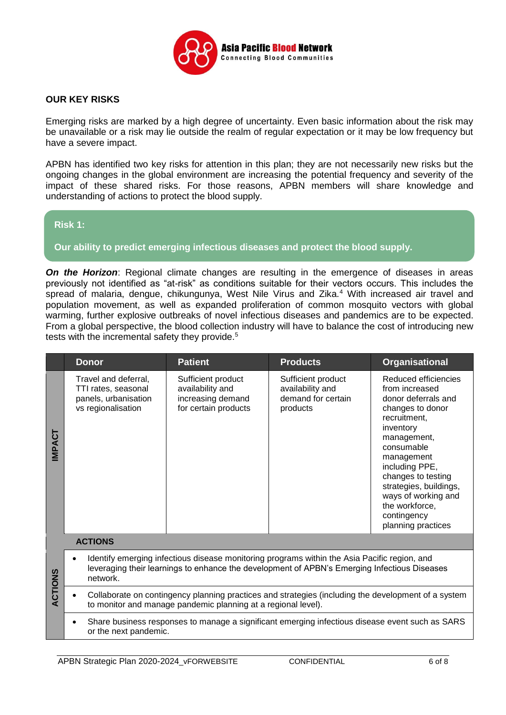

#### **OUR KEY RISKS**

Emerging risks are marked by a high degree of uncertainty. Even basic information about the risk may be unavailable or a risk may lie outside the realm of regular expectation or it may be low frequency but have a severe impact.

APBN has identified two key risks for attention in this plan; they are not necessarily new risks but the ongoing changes in the global environment are increasing the potential frequency and severity of the impact of these shared risks. For those reasons, APBN members will share knowledge and understanding of actions to protect the blood supply.

#### **Risk 1:**

#### **Our ability to predict emerging infectious diseases and protect the blood supply.**

**On the Horizon:** Regional climate changes are resulting in the emergence of diseases in areas previously not identified as "at-risk" as conditions suitable for their vectors occurs. This includes the spread of malaria, dengue, chikungunya, West Nile Virus and Zika.<sup>4</sup> With increased air travel and population movement, as well as expanded proliferation of common mosquito vectors with global warming, further explosive outbreaks of novel infectious diseases and pandemics are to be expected. From a global perspective, the blood collection industry will have to balance the cost of introducing new tests with the incremental safety they provide.<sup>5</sup>

|                | <b>Donor</b>                                                                                                                                                                                             | <b>Patient</b>                                                                      | <b>Products</b>                                                          | <b>Organisational</b>                                                                                                                                                                                                                                                                                     |  |  |
|----------------|----------------------------------------------------------------------------------------------------------------------------------------------------------------------------------------------------------|-------------------------------------------------------------------------------------|--------------------------------------------------------------------------|-----------------------------------------------------------------------------------------------------------------------------------------------------------------------------------------------------------------------------------------------------------------------------------------------------------|--|--|
| <b>INPACT</b>  | Travel and deferral,<br>TTI rates, seasonal<br>panels, urbanisation<br>vs regionalisation                                                                                                                | Sufficient product<br>availability and<br>increasing demand<br>for certain products | Sufficient product<br>availability and<br>demand for certain<br>products | Reduced efficiencies<br>from increased<br>donor deferrals and<br>changes to donor<br>recruitment,<br>inventory<br>management,<br>consumable<br>management<br>including PPE,<br>changes to testing<br>strategies, buildings,<br>ways of working and<br>the workforce,<br>contingency<br>planning practices |  |  |
|                | <b>ACTIONS</b>                                                                                                                                                                                           |                                                                                     |                                                                          |                                                                                                                                                                                                                                                                                                           |  |  |
|                | Identify emerging infectious disease monitoring programs within the Asia Pacific region, and<br>leveraging their learnings to enhance the development of APBN's Emerging Infectious Diseases<br>network. |                                                                                     |                                                                          |                                                                                                                                                                                                                                                                                                           |  |  |
| <b>ACTIONS</b> | Collaborate on contingency planning practices and strategies (including the development of a system<br>to monitor and manage pandemic planning at a regional level).                                     |                                                                                     |                                                                          |                                                                                                                                                                                                                                                                                                           |  |  |
|                | Share business responses to manage a significant emerging infectious disease event such as SARS<br>or the next pandemic.                                                                                 |                                                                                     |                                                                          |                                                                                                                                                                                                                                                                                                           |  |  |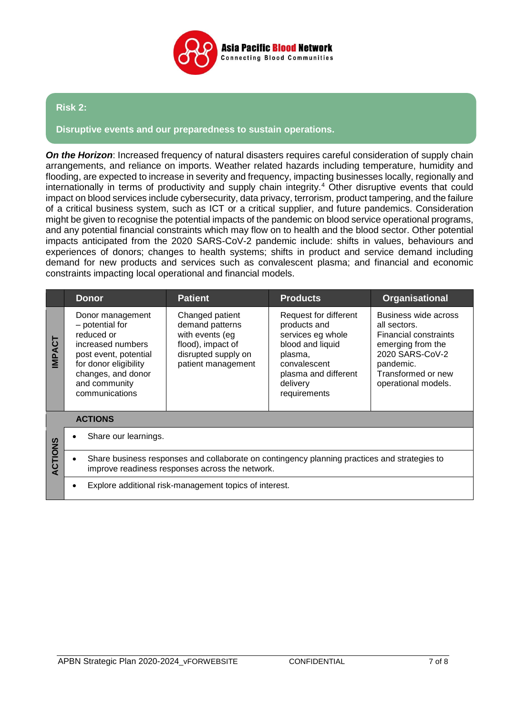

#### **Risk 2:**

#### **Disruptive events and our preparedness to sustain operations.**

**On the Horizon:** Increased frequency of natural disasters requires careful consideration of supply chain arrangements, and reliance on imports. Weather related hazards including temperature, humidity and flooding, are expected to increase in severity and frequency, impacting businesses locally, regionally and internationally in terms of productivity and supply chain integrity.<sup>4</sup> Other disruptive events that could impact on blood services include cybersecurity, data privacy, terrorism, product tampering, and the failure of a critical business system, such as ICT or a critical supplier, and future pandemics. Consideration might be given to recognise the potential impacts of the pandemic on blood service operational programs, and any potential financial constraints which may flow on to health and the blood sector. Other potential impacts anticipated from the 2020 SARS-CoV-2 pandemic include: shifts in values, behaviours and experiences of donors; changes to health systems; shifts in product and service demand including demand for new products and services such as convalescent plasma; and financial and economic constraints impacting local operational and financial models.

|                | <b>Donor</b>                                                                                                                                                                      | <b>Patient</b>                                                                                                          | <b>Products</b>                                                                                                                                               | <b>Organisational</b>                                                                                                                                                  |  |
|----------------|-----------------------------------------------------------------------------------------------------------------------------------------------------------------------------------|-------------------------------------------------------------------------------------------------------------------------|---------------------------------------------------------------------------------------------------------------------------------------------------------------|------------------------------------------------------------------------------------------------------------------------------------------------------------------------|--|
| <b>INPACT</b>  | Donor management<br>- potential for<br>reduced or<br>increased numbers<br>post event, potential<br>for donor eligibility<br>changes, and donor<br>and community<br>communications | Changed patient<br>demand patterns<br>with events (eg<br>flood), impact of<br>disrupted supply on<br>patient management | Request for different<br>products and<br>services eg whole<br>blood and liquid<br>plasma,<br>convalescent<br>plasma and different<br>delivery<br>requirements | Business wide across<br>all sectors.<br><b>Financial constraints</b><br>emerging from the<br>2020 SARS-CoV-2<br>pandemic.<br>Transformed or new<br>operational models. |  |
|                | <b>ACTIONS</b>                                                                                                                                                                    |                                                                                                                         |                                                                                                                                                               |                                                                                                                                                                        |  |
| <b>ACTIONS</b> | Share our learnings.                                                                                                                                                              |                                                                                                                         |                                                                                                                                                               |                                                                                                                                                                        |  |
|                | Share business responses and collaborate on contingency planning practices and strategies to<br>improve readiness responses across the network.                                   |                                                                                                                         |                                                                                                                                                               |                                                                                                                                                                        |  |
|                | Explore additional risk-management topics of interest.                                                                                                                            |                                                                                                                         |                                                                                                                                                               |                                                                                                                                                                        |  |